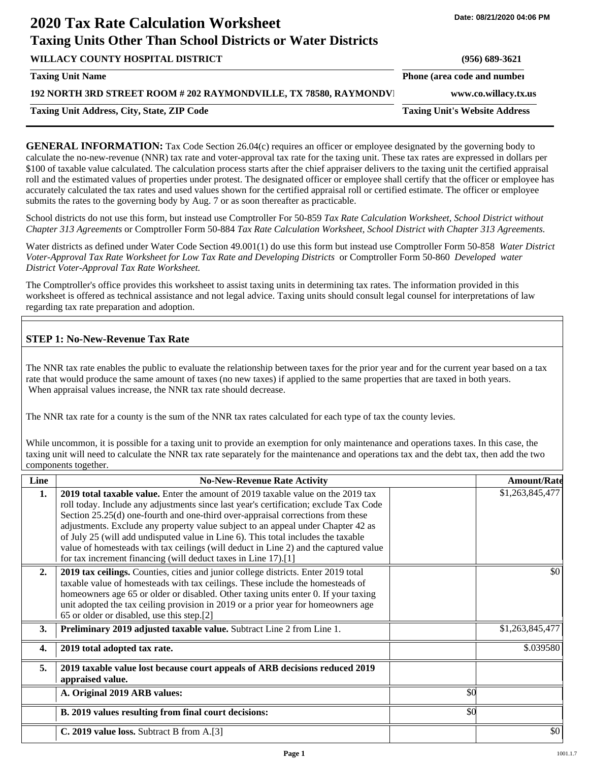# **2020 Tax Rate Calculation Worksheet Taxing Units Other Than School Districts or Water Districts**

| WILLACY COUNTY HOSPITAL DISTRICT                                  | $(956) 689 - 3621$                   |
|-------------------------------------------------------------------|--------------------------------------|
| <b>Taxing Unit Name</b>                                           | Phone (area code and number          |
| 192 NORTH 3RD STREET ROOM # 202 RAYMONDVILLE, TX 78580, RAYMONDVI | www.co.willacy.tx.us                 |
| <b>Taxing Unit Address, City, State, ZIP Code</b>                 | <b>Taxing Unit's Website Address</b> |
|                                                                   |                                      |

**GENERAL INFORMATION:** Tax Code Section 26.04(c) requires an officer or employee designated by the governing body to calculate the no-new-revenue (NNR) tax rate and voter-approval tax rate for the taxing unit. These tax rates are expressed in dollars per \$100 of taxable value calculated. The calculation process starts after the chief appraiser delivers to the taxing unit the certified appraisal roll and the estimated values of properties under protest. The designated officer or employee shall certify that the officer or employee has accurately calculated the tax rates and used values shown for the certified appraisal roll or certified estimate. The officer or employee submits the rates to the governing body by Aug. 7 or as soon thereafter as practicable.

School districts do not use this form, but instead use Comptroller For 50-859 *Tax Rate Calculation Worksheet, School District without Chapter 313 Agreements* or Comptroller Form 50-884 *Tax Rate Calculation Worksheet, School District with Chapter 313 Agreements.*

Water districts as defined under Water Code Section 49.001(1) do use this form but instead use Comptroller Form 50-858 *Water District Voter-Approval Tax Rate Worksheet for Low Tax Rate and Developing Districts* or Comptroller Form 50-860 *Developed water District Voter-Approval Tax Rate Worksheet.*

The Comptroller's office provides this worksheet to assist taxing units in determining tax rates. The information provided in this worksheet is offered as technical assistance and not legal advice. Taxing units should consult legal counsel for interpretations of law regarding tax rate preparation and adoption.

## **STEP 1: No-New-Revenue Tax Rate**

The NNR tax rate enables the public to evaluate the relationship between taxes for the prior year and for the current year based on a tax rate that would produce the same amount of taxes (no new taxes) if applied to the same properties that are taxed in both years. When appraisal values increase, the NNR tax rate should decrease.

The NNR tax rate for a county is the sum of the NNR tax rates calculated for each type of tax the county levies.

While uncommon, it is possible for a taxing unit to provide an exemption for only maintenance and operations taxes. In this case, the taxing unit will need to calculate the NNR tax rate separately for the maintenance and operations tax and the debt tax, then add the two components together.

| Line             | <b>No-New-Revenue Rate Activity</b>                                                                                                                                                                                                                                                                                                                                                                                                                                                                                                                                                             |     | <b>Amount/Rate</b> |
|------------------|-------------------------------------------------------------------------------------------------------------------------------------------------------------------------------------------------------------------------------------------------------------------------------------------------------------------------------------------------------------------------------------------------------------------------------------------------------------------------------------------------------------------------------------------------------------------------------------------------|-----|--------------------|
| 1.               | 2019 total taxable value. Enter the amount of 2019 taxable value on the 2019 tax<br>roll today. Include any adjustments since last year's certification; exclude Tax Code<br>Section 25.25(d) one-fourth and one-third over-appraisal corrections from these<br>adjustments. Exclude any property value subject to an appeal under Chapter 42 as<br>of July 25 (will add undisputed value in Line 6). This total includes the taxable<br>value of homesteads with tax ceilings (will deduct in Line 2) and the captured value<br>for tax increment financing (will deduct taxes in Line 17).[1] |     | \$1,263,845,477    |
| 2.               | 2019 tax ceilings. Counties, cities and junior college districts. Enter 2019 total<br>taxable value of homesteads with tax ceilings. These include the homesteads of<br>homeowners age 65 or older or disabled. Other taxing units enter 0. If your taxing<br>unit adopted the tax ceiling provision in 2019 or a prior year for homeowners age<br>65 or older or disabled, use this step.[2]                                                                                                                                                                                                   |     | \$0                |
| 3.               | Preliminary 2019 adjusted taxable value. Subtract Line 2 from Line 1.                                                                                                                                                                                                                                                                                                                                                                                                                                                                                                                           |     | \$1,263,845,477    |
| $\overline{4}$ . | 2019 total adopted tax rate.                                                                                                                                                                                                                                                                                                                                                                                                                                                                                                                                                                    |     | \$.039580          |
| 5.               | 2019 taxable value lost because court appeals of ARB decisions reduced 2019<br>appraised value.                                                                                                                                                                                                                                                                                                                                                                                                                                                                                                 |     |                    |
|                  | A. Original 2019 ARB values:                                                                                                                                                                                                                                                                                                                                                                                                                                                                                                                                                                    | \$0 |                    |
|                  | B. 2019 values resulting from final court decisions:                                                                                                                                                                                                                                                                                                                                                                                                                                                                                                                                            | \$0 |                    |
|                  | C. 2019 value loss. Subtract B from A.[3]                                                                                                                                                                                                                                                                                                                                                                                                                                                                                                                                                       |     | \$0                |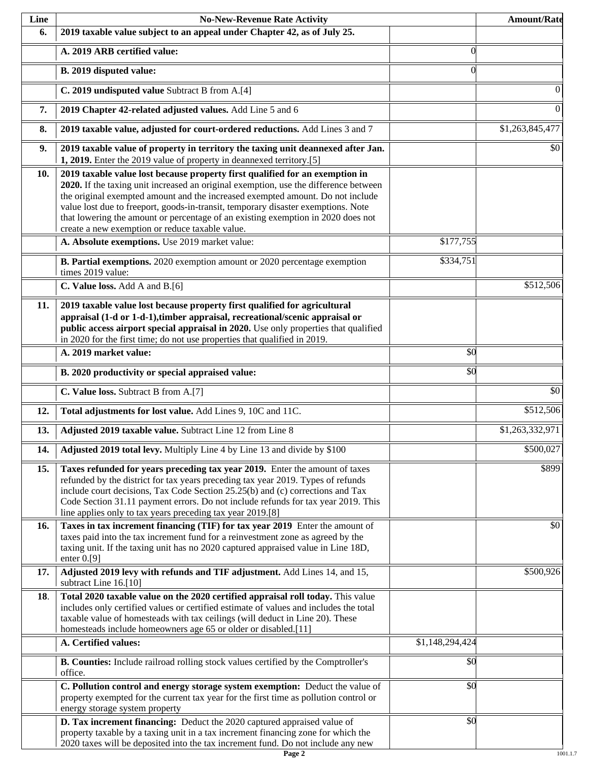| Line | <b>No-New-Revenue Rate Activity</b>                                                                                                                                                                                                                                                                                                                                                                                                                                                |                 | <b>Amount/Rate</b> |
|------|------------------------------------------------------------------------------------------------------------------------------------------------------------------------------------------------------------------------------------------------------------------------------------------------------------------------------------------------------------------------------------------------------------------------------------------------------------------------------------|-----------------|--------------------|
| 6.   | 2019 taxable value subject to an appeal under Chapter 42, as of July 25.                                                                                                                                                                                                                                                                                                                                                                                                           |                 |                    |
|      | A. 2019 ARB certified value:                                                                                                                                                                                                                                                                                                                                                                                                                                                       | $\theta$        |                    |
|      | B. 2019 disputed value:                                                                                                                                                                                                                                                                                                                                                                                                                                                            | $\Omega$        |                    |
|      | C. 2019 undisputed value Subtract B from A.[4]                                                                                                                                                                                                                                                                                                                                                                                                                                     |                 | 0                  |
| 7.   | 2019 Chapter 42-related adjusted values. Add Line 5 and 6                                                                                                                                                                                                                                                                                                                                                                                                                          |                 | $\boldsymbol{0}$   |
| 8.   | 2019 taxable value, adjusted for court-ordered reductions. Add Lines 3 and 7                                                                                                                                                                                                                                                                                                                                                                                                       |                 | \$1,263,845,477    |
| 9.   | 2019 taxable value of property in territory the taxing unit deannexed after Jan.<br>1, 2019. Enter the 2019 value of property in deannexed territory.[5]                                                                                                                                                                                                                                                                                                                           |                 | \$0                |
| 10.  | 2019 taxable value lost because property first qualified for an exemption in<br>2020. If the taxing unit increased an original exemption, use the difference between<br>the original exempted amount and the increased exempted amount. Do not include<br>value lost due to freeport, goods-in-transit, temporary disaster exemptions. Note<br>that lowering the amount or percentage of an existing exemption in 2020 does not<br>create a new exemption or reduce taxable value. |                 |                    |
|      | A. Absolute exemptions. Use 2019 market value:                                                                                                                                                                                                                                                                                                                                                                                                                                     | \$177,755       |                    |
|      | B. Partial exemptions. 2020 exemption amount or 2020 percentage exemption<br>times 2019 value:                                                                                                                                                                                                                                                                                                                                                                                     | \$334,751       |                    |
|      | C. Value loss. Add A and B.[6]                                                                                                                                                                                                                                                                                                                                                                                                                                                     |                 | \$512,506          |
| 11.  | 2019 taxable value lost because property first qualified for agricultural<br>appraisal (1-d or 1-d-1), timber appraisal, recreational/scenic appraisal or<br>public access airport special appraisal in 2020. Use only properties that qualified<br>in 2020 for the first time; do not use properties that qualified in 2019.                                                                                                                                                      |                 |                    |
|      | A. 2019 market value:                                                                                                                                                                                                                                                                                                                                                                                                                                                              | \$0             |                    |
|      | B. 2020 productivity or special appraised value:                                                                                                                                                                                                                                                                                                                                                                                                                                   | \$0             |                    |
|      | C. Value loss. Subtract B from A.[7]                                                                                                                                                                                                                                                                                                                                                                                                                                               |                 | $\overline{50}$    |
| 12.  | Total adjustments for lost value. Add Lines 9, 10C and 11C.                                                                                                                                                                                                                                                                                                                                                                                                                        |                 | \$512,506          |
| 13.  | Adjusted 2019 taxable value. Subtract Line 12 from Line 8                                                                                                                                                                                                                                                                                                                                                                                                                          |                 | \$1,263,332,971    |
| 14.  | Adjusted 2019 total levy. Multiply Line 4 by Line 13 and divide by \$100                                                                                                                                                                                                                                                                                                                                                                                                           |                 | \$500,027          |
| 15.  | Taxes refunded for years preceding tax year 2019. Enter the amount of taxes<br>refunded by the district for tax years preceding tax year 2019. Types of refunds<br>include court decisions, Tax Code Section 25.25(b) and (c) corrections and Tax<br>Code Section 31.11 payment errors. Do not include refunds for tax year 2019. This<br>line applies only to tax years preceding tax year 2019.[8]                                                                               |                 | \$899              |
| 16.  | Taxes in tax increment financing (TIF) for tax year 2019 Enter the amount of<br>taxes paid into the tax increment fund for a reinvestment zone as agreed by the<br>taxing unit. If the taxing unit has no 2020 captured appraised value in Line 18D,<br>enter $0.9$ ]                                                                                                                                                                                                              |                 | \$0                |
| 17.  | Adjusted 2019 levy with refunds and TIF adjustment. Add Lines 14, and 15,<br>subtract Line 16.[10]                                                                                                                                                                                                                                                                                                                                                                                 |                 | \$500,926          |
| 18.  | Total 2020 taxable value on the 2020 certified appraisal roll today. This value<br>includes only certified values or certified estimate of values and includes the total<br>taxable value of homesteads with tax ceilings (will deduct in Line 20). These<br>homesteads include homeowners age 65 or older or disabled.[11]                                                                                                                                                        |                 |                    |
|      | A. Certified values:                                                                                                                                                                                                                                                                                                                                                                                                                                                               | \$1,148,294,424 |                    |
|      | B. Counties: Include railroad rolling stock values certified by the Comptroller's<br>office.                                                                                                                                                                                                                                                                                                                                                                                       | \$0             |                    |
|      | C. Pollution control and energy storage system exemption: Deduct the value of<br>property exempted for the current tax year for the first time as pollution control or<br>energy storage system property                                                                                                                                                                                                                                                                           | \$0             |                    |
|      | D. Tax increment financing: Deduct the 2020 captured appraised value of<br>property taxable by a taxing unit in a tax increment financing zone for which the<br>2020 taxes will be deposited into the tax increment fund. Do not include any new                                                                                                                                                                                                                                   | $\sqrt{50}$     |                    |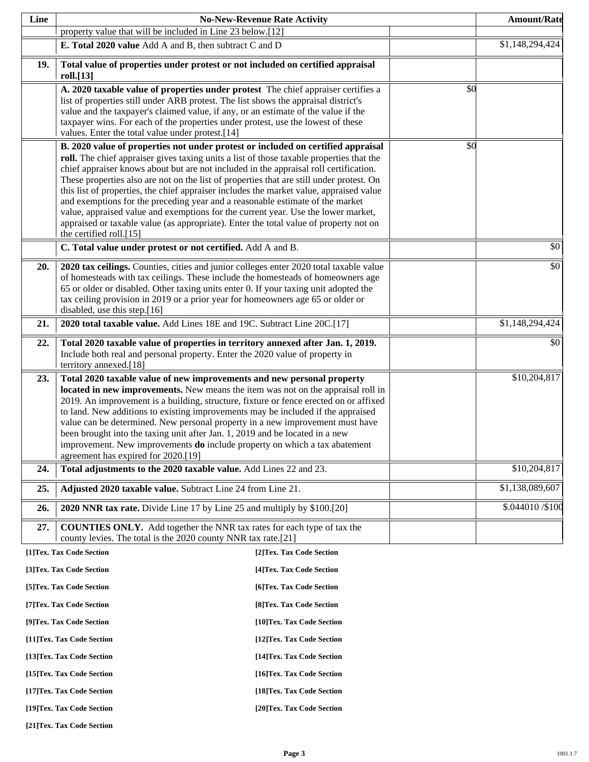| Line |                                                                                                                                                                           | <b>No-New-Revenue Rate Activity</b> |     | <b>Amount/Rate</b> |
|------|---------------------------------------------------------------------------------------------------------------------------------------------------------------------------|-------------------------------------|-----|--------------------|
|      | property value that will be included in Line 23 below.[12]                                                                                                                |                                     |     |                    |
|      | E. Total 2020 value Add A and B, then subtract C and D                                                                                                                    |                                     |     | \$1,148,294,424    |
| 19.  | Total value of properties under protest or not included on certified appraisal                                                                                            |                                     |     |                    |
|      | roll.[13]                                                                                                                                                                 |                                     |     |                    |
|      | A. 2020 taxable value of properties under protest The chief appraiser certifies a                                                                                         |                                     | \$0 |                    |
|      | list of properties still under ARB protest. The list shows the appraisal district's<br>value and the taxpayer's claimed value, if any, or an estimate of the value if the |                                     |     |                    |
|      | taxpayer wins. For each of the properties under protest, use the lowest of these                                                                                          |                                     |     |                    |
|      | values. Enter the total value under protest.[14]                                                                                                                          |                                     |     |                    |
|      | B. 2020 value of properties not under protest or included on certified appraisal                                                                                          |                                     | \$0 |                    |
|      | roll. The chief appraiser gives taxing units a list of those taxable properties that the                                                                                  |                                     |     |                    |
|      | chief appraiser knows about but are not included in the appraisal roll certification.                                                                                     |                                     |     |                    |
|      | These properties also are not on the list of properties that are still under protest. On                                                                                  |                                     |     |                    |
|      | this list of properties, the chief appraiser includes the market value, appraised value<br>and exemptions for the preceding year and a reasonable estimate of the market  |                                     |     |                    |
|      | value, appraised value and exemptions for the current year. Use the lower market,                                                                                         |                                     |     |                    |
|      | appraised or taxable value (as appropriate). Enter the total value of property not on                                                                                     |                                     |     |                    |
|      | the certified roll.[15]                                                                                                                                                   |                                     |     |                    |
|      | C. Total value under protest or not certified. Add A and B.                                                                                                               |                                     |     | \$0                |
| 20.  | 2020 tax ceilings. Counties, cities and junior colleges enter 2020 total taxable value                                                                                    |                                     |     | \$0                |
|      | of homesteads with tax ceilings. These include the homesteads of homeowners age                                                                                           |                                     |     |                    |
|      | 65 or older or disabled. Other taxing units enter 0. If your taxing unit adopted the                                                                                      |                                     |     |                    |
|      | tax ceiling provision in 2019 or a prior year for homeowners age 65 or older or<br>disabled, use this step.[16]                                                           |                                     |     |                    |
| 21.  | 2020 total taxable value. Add Lines 18E and 19C. Subtract Line 20C.[17]                                                                                                   |                                     |     | \$1,148,294,424    |
|      |                                                                                                                                                                           |                                     |     |                    |
| 22.  | Total 2020 taxable value of properties in territory annexed after Jan. 1, 2019.<br>Include both real and personal property. Enter the 2020 value of property in           |                                     |     | \$0                |
|      | territory annexed.[18]                                                                                                                                                    |                                     |     |                    |
| 23.  | Total 2020 taxable value of new improvements and new personal property                                                                                                    |                                     |     | \$10,204,817       |
|      | located in new improvements. New means the item was not on the appraisal roll in                                                                                          |                                     |     |                    |
|      | 2019. An improvement is a building, structure, fixture or fence erected on or affixed                                                                                     |                                     |     |                    |
|      | to land. New additions to existing improvements may be included if the appraised                                                                                          |                                     |     |                    |
|      | value can be determined. New personal property in a new improvement must have<br>been brought into the taxing unit after Jan. 1, 2019 and be located in a new             |                                     |     |                    |
|      | improvement. New improvements <b>do</b> include property on which a tax abatement                                                                                         |                                     |     |                    |
|      | agreement has expired for 2020.[19]                                                                                                                                       |                                     |     |                    |
| 24.  | Total adjustments to the 2020 taxable value. Add Lines 22 and 23.                                                                                                         |                                     |     | \$10,204,817       |
| 25.  | Adjusted 2020 taxable value. Subtract Line 24 from Line 21.                                                                                                               |                                     |     | \$1,138,089,607    |
| 26.  | 2020 NNR tax rate. Divide Line 17 by Line 25 and multiply by \$100.[20]                                                                                                   |                                     |     | \$.044010 / \$100  |
| 27.  | <b>COUNTIES ONLY.</b> Add together the NNR tax rates for each type of tax the                                                                                             |                                     |     |                    |
|      | county levies. The total is the 2020 county NNR tax rate.[21]                                                                                                             |                                     |     |                    |
|      | [1]Tex. Tax Code Section                                                                                                                                                  | [2] Tex. Tax Code Section           |     |                    |
|      | [3]Tex. Tax Code Section                                                                                                                                                  | [4] Tex. Tax Code Section           |     |                    |
|      | [5] Tex. Tax Code Section                                                                                                                                                 | [6]Tex. Tax Code Section            |     |                    |
|      | [7] Tex. Tax Code Section                                                                                                                                                 | [8] Tex. Tax Code Section           |     |                    |
|      | [9]Tex. Tax Code Section                                                                                                                                                  | [10]Tex. Tax Code Section           |     |                    |
|      | [11] Tex. Tax Code Section                                                                                                                                                | [12] Tex. Tax Code Section          |     |                    |
|      | [13] Tex. Tax Code Section                                                                                                                                                | [14] Tex. Tax Code Section          |     |                    |
|      | [15] Tex. Tax Code Section                                                                                                                                                | [16] Tex. Tax Code Section          |     |                    |
|      | [17] Tex. Tax Code Section                                                                                                                                                | [18] Tex. Tax Code Section          |     |                    |
|      | [19]Tex. Tax Code Section                                                                                                                                                 | [20]Tex. Tax Code Section           |     |                    |

**[21]Tex. Tax Code Section**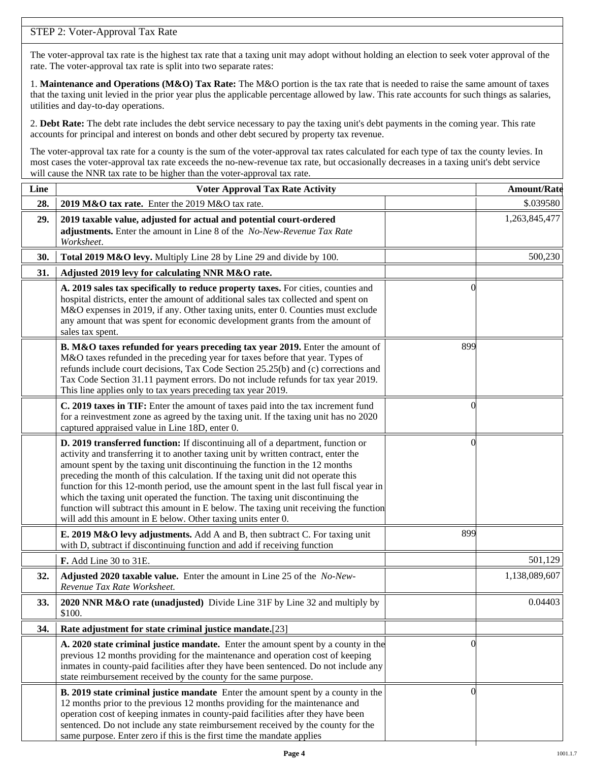## STEP 2: Voter-Approval Tax Rate

The voter-approval tax rate is the highest tax rate that a taxing unit may adopt without holding an election to seek voter approval of the rate. The voter-approval tax rate is split into two separate rates:

1. **Maintenance and Operations (M&O) Tax Rate:** The M&O portion is the tax rate that is needed to raise the same amount of taxes that the taxing unit levied in the prior year plus the applicable percentage allowed by law. This rate accounts for such things as salaries, utilities and day-to-day operations.

2. **Debt Rate:** The debt rate includes the debt service necessary to pay the taxing unit's debt payments in the coming year. This rate accounts for principal and interest on bonds and other debt secured by property tax revenue.

The voter-approval tax rate for a county is the sum of the voter-approval tax rates calculated for each type of tax the county levies. In most cases the voter-approval tax rate exceeds the no-new-revenue tax rate, but occasionally decreases in a taxing unit's debt service will cause the NNR tax rate to be higher than the voter-approval tax rate.

| Line | <b>Voter Approval Tax Rate Activity</b>                                                                                                                                                                                                                                                                                                                                                                                                                                                                                                                                                                                                                                        |                | <b>Amount/Rate</b> |
|------|--------------------------------------------------------------------------------------------------------------------------------------------------------------------------------------------------------------------------------------------------------------------------------------------------------------------------------------------------------------------------------------------------------------------------------------------------------------------------------------------------------------------------------------------------------------------------------------------------------------------------------------------------------------------------------|----------------|--------------------|
| 28.  | 2019 M&O tax rate. Enter the 2019 M&O tax rate.                                                                                                                                                                                                                                                                                                                                                                                                                                                                                                                                                                                                                                |                | \$.039580          |
| 29.  | 2019 taxable value, adjusted for actual and potential court-ordered<br>adjustments. Enter the amount in Line 8 of the No-New-Revenue Tax Rate<br>Worksheet.                                                                                                                                                                                                                                                                                                                                                                                                                                                                                                                    |                | 1,263,845,477      |
| 30.  | Total 2019 M&O levy. Multiply Line 28 by Line 29 and divide by 100.                                                                                                                                                                                                                                                                                                                                                                                                                                                                                                                                                                                                            |                | 500,230            |
| 31.  | Adjusted 2019 levy for calculating NNR M&O rate.                                                                                                                                                                                                                                                                                                                                                                                                                                                                                                                                                                                                                               |                |                    |
|      | A. 2019 sales tax specifically to reduce property taxes. For cities, counties and<br>hospital districts, enter the amount of additional sales tax collected and spent on<br>M&O expenses in 2019, if any. Other taxing units, enter 0. Counties must exclude<br>any amount that was spent for economic development grants from the amount of<br>sales tax spent.                                                                                                                                                                                                                                                                                                               | $\Omega$       |                    |
|      | B. M&O taxes refunded for years preceding tax year 2019. Enter the amount of<br>M&O taxes refunded in the preceding year for taxes before that year. Types of<br>refunds include court decisions, Tax Code Section 25.25(b) and (c) corrections and<br>Tax Code Section 31.11 payment errors. Do not include refunds for tax year 2019.<br>This line applies only to tax years preceding tax year 2019.                                                                                                                                                                                                                                                                        | 899            |                    |
|      | C. 2019 taxes in TIF: Enter the amount of taxes paid into the tax increment fund<br>for a reinvestment zone as agreed by the taxing unit. If the taxing unit has no 2020<br>captured appraised value in Line 18D, enter 0.                                                                                                                                                                                                                                                                                                                                                                                                                                                     | 0              |                    |
|      | D. 2019 transferred function: If discontinuing all of a department, function or<br>activity and transferring it to another taxing unit by written contract, enter the<br>amount spent by the taxing unit discontinuing the function in the 12 months<br>preceding the month of this calculation. If the taxing unit did not operate this<br>function for this 12-month period, use the amount spent in the last full fiscal year in<br>which the taxing unit operated the function. The taxing unit discontinuing the<br>function will subtract this amount in E below. The taxing unit receiving the function<br>will add this amount in E below. Other taxing units enter 0. | $\left($       |                    |
|      | E. 2019 M&O levy adjustments. Add A and B, then subtract C. For taxing unit<br>with D, subtract if discontinuing function and add if receiving function                                                                                                                                                                                                                                                                                                                                                                                                                                                                                                                        | 899            |                    |
|      | F. Add Line 30 to 31E.                                                                                                                                                                                                                                                                                                                                                                                                                                                                                                                                                                                                                                                         |                | 501,129            |
| 32.  | Adjusted 2020 taxable value. Enter the amount in Line 25 of the No-New-<br>Revenue Tax Rate Worksheet.                                                                                                                                                                                                                                                                                                                                                                                                                                                                                                                                                                         |                | 1,138,089,607      |
| 33.  | 2020 NNR M&O rate (unadjusted) Divide Line 31F by Line 32 and multiply by<br>\$100.                                                                                                                                                                                                                                                                                                                                                                                                                                                                                                                                                                                            |                | 0.04403            |
| 34.  | Rate adjustment for state criminal justice mandate.[23]                                                                                                                                                                                                                                                                                                                                                                                                                                                                                                                                                                                                                        |                |                    |
|      | A. 2020 state criminal justice mandate. Enter the amount spent by a county in the<br>previous 12 months providing for the maintenance and operation cost of keeping<br>inmates in county-paid facilities after they have been sentenced. Do not include any<br>state reimbursement received by the county for the same purpose.                                                                                                                                                                                                                                                                                                                                                | $\Omega$       |                    |
|      | <b>B. 2019 state criminal justice mandate</b> Enter the amount spent by a county in the<br>12 months prior to the previous 12 months providing for the maintenance and<br>operation cost of keeping inmates in county-paid facilities after they have been<br>sentenced. Do not include any state reimbursement received by the county for the<br>same purpose. Enter zero if this is the first time the mandate applies                                                                                                                                                                                                                                                       | $\overline{0}$ |                    |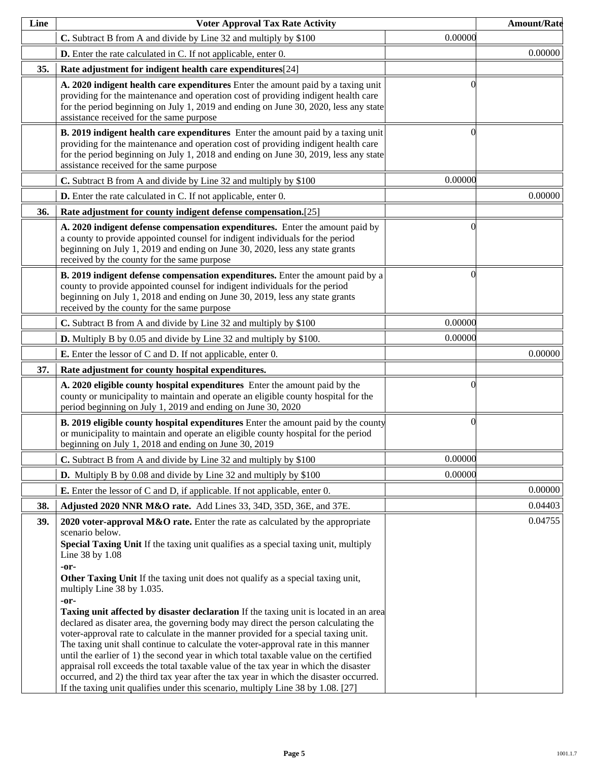| Line | <b>Voter Approval Tax Rate Activity</b>                                                                                                                                                                                                                                                                                                                                                                                                                                                                                                                                                                                                                                                                                                                                                                                                                                                                                                                                                                                                                                        |           | <b>Amount/Rate</b> |
|------|--------------------------------------------------------------------------------------------------------------------------------------------------------------------------------------------------------------------------------------------------------------------------------------------------------------------------------------------------------------------------------------------------------------------------------------------------------------------------------------------------------------------------------------------------------------------------------------------------------------------------------------------------------------------------------------------------------------------------------------------------------------------------------------------------------------------------------------------------------------------------------------------------------------------------------------------------------------------------------------------------------------------------------------------------------------------------------|-----------|--------------------|
|      | C. Subtract B from A and divide by Line 32 and multiply by \$100                                                                                                                                                                                                                                                                                                                                                                                                                                                                                                                                                                                                                                                                                                                                                                                                                                                                                                                                                                                                               | 0.00000   |                    |
|      | <b>D.</b> Enter the rate calculated in C. If not applicable, enter 0.                                                                                                                                                                                                                                                                                                                                                                                                                                                                                                                                                                                                                                                                                                                                                                                                                                                                                                                                                                                                          |           | 0.00000            |
| 35.  | Rate adjustment for indigent health care expenditures[24]                                                                                                                                                                                                                                                                                                                                                                                                                                                                                                                                                                                                                                                                                                                                                                                                                                                                                                                                                                                                                      |           |                    |
|      | A. 2020 indigent health care expenditures Enter the amount paid by a taxing unit<br>providing for the maintenance and operation cost of providing indigent health care<br>for the period beginning on July 1, 2019 and ending on June 30, 2020, less any state<br>assistance received for the same purpose                                                                                                                                                                                                                                                                                                                                                                                                                                                                                                                                                                                                                                                                                                                                                                     |           |                    |
|      | B. 2019 indigent health care expenditures Enter the amount paid by a taxing unit<br>providing for the maintenance and operation cost of providing indigent health care<br>for the period beginning on July 1, 2018 and ending on June 30, 2019, less any state<br>assistance received for the same purpose                                                                                                                                                                                                                                                                                                                                                                                                                                                                                                                                                                                                                                                                                                                                                                     | $\bigcap$ |                    |
|      | C. Subtract B from A and divide by Line 32 and multiply by \$100                                                                                                                                                                                                                                                                                                                                                                                                                                                                                                                                                                                                                                                                                                                                                                                                                                                                                                                                                                                                               | 0.00000   |                    |
|      | <b>D.</b> Enter the rate calculated in C. If not applicable, enter 0.                                                                                                                                                                                                                                                                                                                                                                                                                                                                                                                                                                                                                                                                                                                                                                                                                                                                                                                                                                                                          |           | 0.00000            |
| 36.  | Rate adjustment for county indigent defense compensation.[25]                                                                                                                                                                                                                                                                                                                                                                                                                                                                                                                                                                                                                                                                                                                                                                                                                                                                                                                                                                                                                  |           |                    |
|      | A. 2020 indigent defense compensation expenditures. Enter the amount paid by<br>a county to provide appointed counsel for indigent individuals for the period<br>beginning on July 1, 2019 and ending on June 30, 2020, less any state grants<br>received by the county for the same purpose                                                                                                                                                                                                                                                                                                                                                                                                                                                                                                                                                                                                                                                                                                                                                                                   | 0         |                    |
|      | B. 2019 indigent defense compensation expenditures. Enter the amount paid by a<br>county to provide appointed counsel for indigent individuals for the period<br>beginning on July 1, 2018 and ending on June 30, 2019, less any state grants<br>received by the county for the same purpose                                                                                                                                                                                                                                                                                                                                                                                                                                                                                                                                                                                                                                                                                                                                                                                   | 0         |                    |
|      | C. Subtract B from A and divide by Line 32 and multiply by \$100                                                                                                                                                                                                                                                                                                                                                                                                                                                                                                                                                                                                                                                                                                                                                                                                                                                                                                                                                                                                               | 0.00000   |                    |
|      | <b>D.</b> Multiply B by 0.05 and divide by Line 32 and multiply by \$100.                                                                                                                                                                                                                                                                                                                                                                                                                                                                                                                                                                                                                                                                                                                                                                                                                                                                                                                                                                                                      | 0.00000   |                    |
|      | <b>E.</b> Enter the lessor of C and D. If not applicable, enter 0.                                                                                                                                                                                                                                                                                                                                                                                                                                                                                                                                                                                                                                                                                                                                                                                                                                                                                                                                                                                                             |           | 0.00000            |
| 37.  | Rate adjustment for county hospital expenditures.                                                                                                                                                                                                                                                                                                                                                                                                                                                                                                                                                                                                                                                                                                                                                                                                                                                                                                                                                                                                                              |           |                    |
|      | A. 2020 eligible county hospital expenditures Enter the amount paid by the<br>county or municipality to maintain and operate an eligible county hospital for the<br>period beginning on July 1, 2019 and ending on June 30, 2020                                                                                                                                                                                                                                                                                                                                                                                                                                                                                                                                                                                                                                                                                                                                                                                                                                               |           |                    |
|      | <b>B. 2019 eligible county hospital expenditures</b> Enter the amount paid by the county<br>or municipality to maintain and operate an eligible county hospital for the period<br>beginning on July 1, 2018 and ending on June 30, 2019                                                                                                                                                                                                                                                                                                                                                                                                                                                                                                                                                                                                                                                                                                                                                                                                                                        | 0         |                    |
|      | C. Subtract B from A and divide by Line 32 and multiply by \$100                                                                                                                                                                                                                                                                                                                                                                                                                                                                                                                                                                                                                                                                                                                                                                                                                                                                                                                                                                                                               | 0.00000   |                    |
|      | <b>D.</b> Multiply B by 0.08 and divide by Line 32 and multiply by \$100                                                                                                                                                                                                                                                                                                                                                                                                                                                                                                                                                                                                                                                                                                                                                                                                                                                                                                                                                                                                       | 0.00000   |                    |
|      | <b>E.</b> Enter the lessor of C and D, if applicable. If not applicable, enter 0.                                                                                                                                                                                                                                                                                                                                                                                                                                                                                                                                                                                                                                                                                                                                                                                                                                                                                                                                                                                              |           | 0.00000            |
| 38.  | Adjusted 2020 NNR M&O rate. Add Lines 33, 34D, 35D, 36E, and 37E.                                                                                                                                                                                                                                                                                                                                                                                                                                                                                                                                                                                                                                                                                                                                                                                                                                                                                                                                                                                                              |           | 0.04403            |
| 39.  | 2020 voter-approval $M&O$ rate. Enter the rate as calculated by the appropriate<br>scenario below.<br>Special Taxing Unit If the taxing unit qualifies as a special taxing unit, multiply<br>Line 38 by 1.08<br>-or-<br>Other Taxing Unit If the taxing unit does not qualify as a special taxing unit,<br>multiply Line 38 by 1.035.<br>-or-<br><b>Taxing unit affected by disaster declaration</b> If the taxing unit is located in an area<br>declared as disater area, the governing body may direct the person calculating the<br>voter-approval rate to calculate in the manner provided for a special taxing unit.<br>The taxing unit shall continue to calculate the voter-approval rate in this manner<br>until the earlier of 1) the second year in which total taxable value on the certified<br>appraisal roll exceeds the total taxable value of the tax year in which the disaster<br>occurred, and 2) the third tax year after the tax year in which the disaster occurred.<br>If the taxing unit qualifies under this scenario, multiply Line 38 by 1.08. [27] |           | 0.04755            |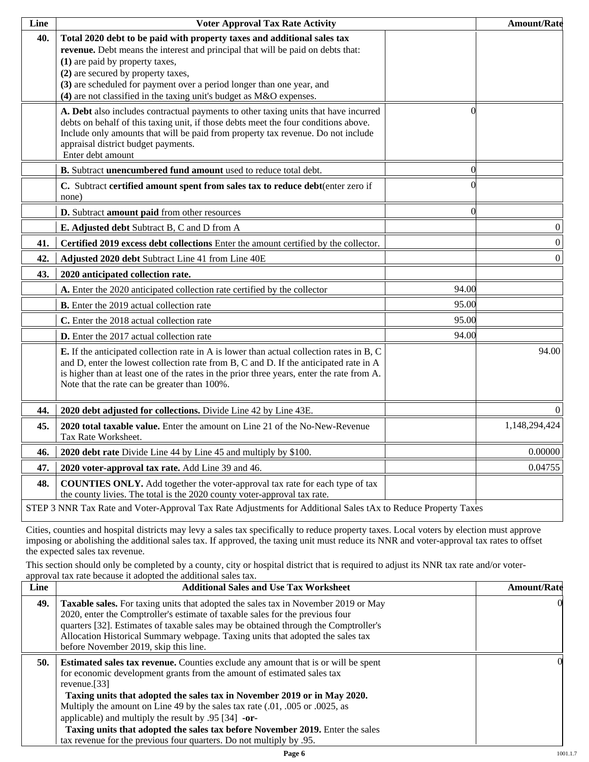| Line | <b>Voter Approval Tax Rate Activity</b>                                                                                                                                                                                                                                                                                                                                             |                  | <b>Amount/Rate</b> |
|------|-------------------------------------------------------------------------------------------------------------------------------------------------------------------------------------------------------------------------------------------------------------------------------------------------------------------------------------------------------------------------------------|------------------|--------------------|
| 40.  | Total 2020 debt to be paid with property taxes and additional sales tax<br>revenue. Debt means the interest and principal that will be paid on debts that:<br>(1) are paid by property taxes,<br>(2) are secured by property taxes,<br>(3) are scheduled for payment over a period longer than one year, and<br>(4) are not classified in the taxing unit's budget as M&O expenses. |                  |                    |
|      | A. Debt also includes contractual payments to other taxing units that have incurred<br>debts on behalf of this taxing unit, if those debts meet the four conditions above.<br>Include only amounts that will be paid from property tax revenue. Do not include<br>appraisal district budget payments.<br>Enter debt amount                                                          | $\left( \right)$ |                    |
|      | B. Subtract unencumbered fund amount used to reduce total debt.                                                                                                                                                                                                                                                                                                                     | $\Omega$         |                    |
|      | C. Subtract certified amount spent from sales tax to reduce debt(enter zero if<br>none)                                                                                                                                                                                                                                                                                             |                  |                    |
|      | D. Subtract amount paid from other resources                                                                                                                                                                                                                                                                                                                                        | $\Omega$         |                    |
|      | E. Adjusted debt Subtract B, C and D from A                                                                                                                                                                                                                                                                                                                                         |                  | $\boldsymbol{0}$   |
| 41.  | Certified 2019 excess debt collections Enter the amount certified by the collector.                                                                                                                                                                                                                                                                                                 |                  | $\vert 0 \vert$    |
| 42.  | Adjusted 2020 debt Subtract Line 41 from Line 40E                                                                                                                                                                                                                                                                                                                                   |                  | $\boldsymbol{0}$   |
| 43.  | 2020 anticipated collection rate.                                                                                                                                                                                                                                                                                                                                                   |                  |                    |
|      | A. Enter the 2020 anticipated collection rate certified by the collector                                                                                                                                                                                                                                                                                                            | 94.00            |                    |
|      | <b>B.</b> Enter the 2019 actual collection rate                                                                                                                                                                                                                                                                                                                                     | 95.00            |                    |
|      | C. Enter the 2018 actual collection rate                                                                                                                                                                                                                                                                                                                                            | 95.00            |                    |
|      | D. Enter the 2017 actual collection rate                                                                                                                                                                                                                                                                                                                                            | 94.00            |                    |
|      | E. If the anticipated collection rate in A is lower than actual collection rates in B, C<br>and D, enter the lowest collection rate from B, C and D. If the anticipated rate in A<br>is higher than at least one of the rates in the prior three years, enter the rate from A.<br>Note that the rate can be greater than 100%.                                                      |                  | 94.00              |
| 44.  | 2020 debt adjusted for collections. Divide Line 42 by Line 43E.                                                                                                                                                                                                                                                                                                                     |                  | $\Omega$           |
| 45.  | 2020 total taxable value. Enter the amount on Line 21 of the No-New-Revenue<br>Tax Rate Worksheet.                                                                                                                                                                                                                                                                                  |                  | 1,148,294,424      |
| 46.  | 2020 debt rate Divide Line 44 by Line 45 and multiply by \$100.                                                                                                                                                                                                                                                                                                                     |                  | 0.00000            |
| 47.  | 2020 voter-approval tax rate. Add Line 39 and 46.                                                                                                                                                                                                                                                                                                                                   |                  | 0.04755            |
| 48.  | <b>COUNTIES ONLY.</b> Add together the voter-approval tax rate for each type of tax<br>the county livies. The total is the 2020 county voter-approval tax rate.                                                                                                                                                                                                                     |                  |                    |
|      | STEP 3 NNR Tax Rate and Voter-Approval Tax Rate Adjustments for Additional Sales tAx to Reduce Property Taxes                                                                                                                                                                                                                                                                       |                  |                    |

Cities, counties and hospital districts may levy a sales tax specifically to reduce property taxes. Local voters by election must approve imposing or abolishing the additional sales tax. If approved, the taxing unit must reduce its NNR and voter-approval tax rates to offset the expected sales tax revenue.

This section should only be completed by a county, city or hospital district that is required to adjust its NNR tax rate and/or voterapproval tax rate because it adopted the additional sales tax.

| <b>Additional Sales and Use Tax Worksheet</b>                                                                                                                                                                                                                                                                                                                                                                                                                                                | <b>Amount/Rate</b>                                                  |
|----------------------------------------------------------------------------------------------------------------------------------------------------------------------------------------------------------------------------------------------------------------------------------------------------------------------------------------------------------------------------------------------------------------------------------------------------------------------------------------------|---------------------------------------------------------------------|
| Taxable sales. For taxing units that adopted the sales tax in November 2019 or May<br>2020, enter the Comptroller's estimate of taxable sales for the previous four<br>quarters [32]. Estimates of taxable sales may be obtained through the Comptroller's<br>Allocation Historical Summary webpage. Taxing units that adopted the sales tax<br>before November 2019, skip this line.                                                                                                        | $\Omega$                                                            |
| <b>Estimated sales tax revenue.</b> Counties exclude any amount that is or will be spent<br>for economic development grants from the amount of estimated sales tax<br>revenue. $[33]$<br>Taxing units that adopted the sales tax in November 2019 or in May 2020.<br>Multiply the amount on Line 49 by the sales tax rate (.01, .005 or .0025, as<br>applicable) and multiply the result by $.95$ [34] -or-<br>Taxing units that adopted the sales tax before November 2019. Enter the sales | OI.                                                                 |
|                                                                                                                                                                                                                                                                                                                                                                                                                                                                                              | tax revenue for the previous four quarters. Do not multiply by .95. |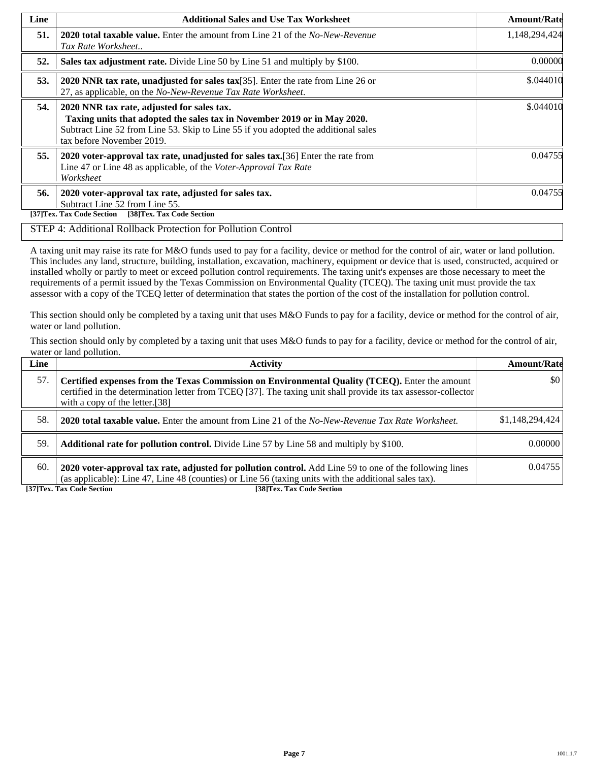| Line | <b>Additional Sales and Use Tax Worksheet</b>                                                                                                                                                                                             | <b>Amount/Rate</b> |
|------|-------------------------------------------------------------------------------------------------------------------------------------------------------------------------------------------------------------------------------------------|--------------------|
| 51.  | <b>2020 total taxable value.</b> Enter the amount from Line 21 of the <i>No-New-Revenue</i><br>Tax Rate Worksheet                                                                                                                         | 1,148,294,424      |
| 52.  | Sales tax adjustment rate. Divide Line 50 by Line 51 and multiply by \$100.                                                                                                                                                               | 0.00000            |
| 53.  | 2020 NNR tax rate, unadjusted for sales tax $[35]$ . Enter the rate from Line 26 or<br>27, as applicable, on the No-New-Revenue Tax Rate Worksheet.                                                                                       | \$.044010          |
| 54.  | 2020 NNR tax rate, adjusted for sales tax.<br>Taxing units that adopted the sales tax in November 2019 or in May 2020.<br>Subtract Line 52 from Line 53. Skip to Line 55 if you adopted the additional sales<br>tax before November 2019. | \$.044010          |
| 55.  | 2020 voter-approval tax rate, unadjusted for sales tax. [36] Enter the rate from<br>Line 47 or Line 48 as applicable, of the Voter-Approval Tax Rate<br>Worksheet                                                                         | 0.04755            |
| 56.  | 2020 voter-approval tax rate, adjusted for sales tax.<br>Subtract Line 52 from Line 55.<br>[38]Tex. Tax Code Section<br>[37]Tex. Tax Code Section                                                                                         | 0.04755            |

#### STEP 4: Additional Rollback Protection for Pollution Control

A taxing unit may raise its rate for M&O funds used to pay for a facility, device or method for the control of air, water or land pollution. This includes any land, structure, building, installation, excavation, machinery, equipment or device that is used, constructed, acquired or installed wholly or partly to meet or exceed pollution control requirements. The taxing unit's expenses are those necessary to meet the requirements of a permit issued by the Texas Commission on Environmental Quality (TCEQ). The taxing unit must provide the tax assessor with a copy of the TCEQ letter of determination that states the portion of the cost of the installation for pollution control.

This section should only be completed by a taxing unit that uses M&O Funds to pay for a facility, device or method for the control of air, water or land pollution.

This section should only by completed by a taxing unit that uses M&O funds to pay for a facility, device or method for the control of air, water or land pollution.

| Line | <b>Activity</b>                                                                                                                                                                                                                                    | <b>Amount/Rate</b> |
|------|----------------------------------------------------------------------------------------------------------------------------------------------------------------------------------------------------------------------------------------------------|--------------------|
| 57.  | Certified expenses from the Texas Commission on Environmental Quality (TCEQ). Enter the amount<br>certified in the determination letter from TCEQ [37]. The taxing unit shall provide its tax assessor-collector<br>with a copy of the letter.[38] | $\frac{1}{2}$      |
| 58.  | <b>2020 total taxable value.</b> Enter the amount from Line 21 of the No-New-Revenue Tax Rate Worksheet.                                                                                                                                           | \$1,148,294,424    |
| 59.  | <b>Additional rate for pollution control.</b> Divide Line 57 by Line 58 and multiply by \$100.                                                                                                                                                     | 0.00000            |
| 60.  | 2020 voter-approval tax rate, adjusted for pollution control. Add Line 59 to one of the following lines<br>(as applicable): Line 47, Line 48 (counties) or Line 56 (taxing units with the additional sales tax).                                   | 0.04755            |

**[37]Tex. Tax Code Section [38]Tex. Tax Code Section**